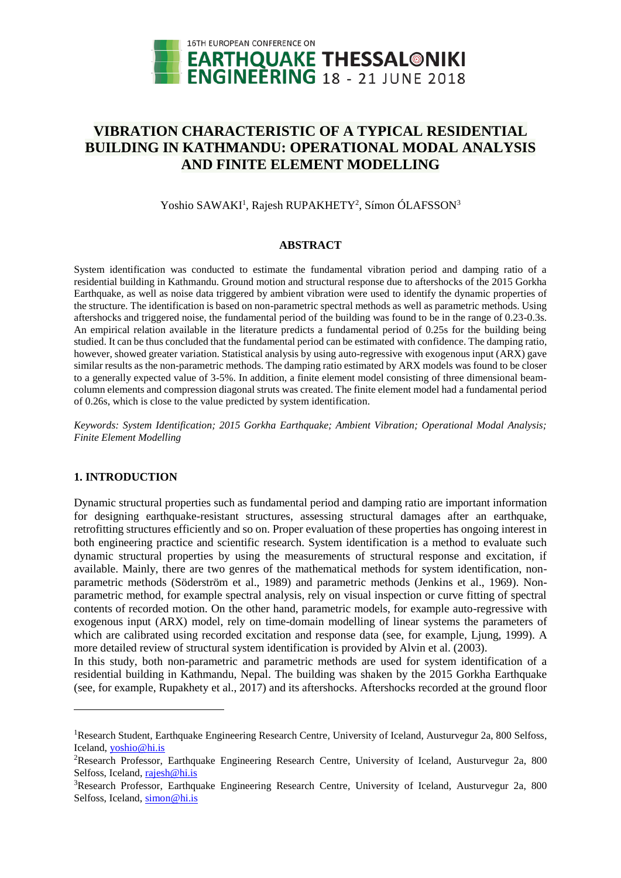

# **VIBRATION CHARACTERISTIC OF A TYPICAL RESIDENTIAL BUILDING IN KATHMANDU: OPERATIONAL MODAL ANALYSIS AND FINITE ELEMENT MODELLING**

Yoshio SAWAKI<sup>1</sup>, Rajesh RUPAKHETY<sup>2</sup>, Símon ÓLAFSSON<sup>3</sup>

# **ABSTRACT**

System identification was conducted to estimate the fundamental vibration period and damping ratio of a residential building in Kathmandu. Ground motion and structural response due to aftershocks of the 2015 Gorkha Earthquake, as well as noise data triggered by ambient vibration were used to identify the dynamic properties of the structure. The identification is based on non-parametric spectral methods as well as parametric methods. Using aftershocks and triggered noise, the fundamental period of the building was found to be in the range of 0.23-0.3s. An empirical relation available in the literature predicts a fundamental period of 0.25s for the building being studied. It can be thus concluded that the fundamental period can be estimated with confidence. The damping ratio, however, showed greater variation. Statistical analysis by using auto-regressive with exogenous input (ARX) gave similar results as the non-parametric methods. The damping ratio estimated by ARX models was found to be closer to a generally expected value of 3-5%. In addition, a finite element model consisting of three dimensional beamcolumn elements and compression diagonal struts was created. The finite element model had a fundamental period of 0.26s, which is close to the value predicted by system identification.

*Keywords: System Identification; 2015 Gorkha Earthquake; Ambient Vibration; Operational Modal Analysis; Finite Element Modelling* 

# **1. INTRODUCTION**

l

Dynamic structural properties such as fundamental period and damping ratio are important information for designing earthquake-resistant structures, assessing structural damages after an earthquake, retrofitting structures efficiently and so on. Proper evaluation of these properties has ongoing interest in both engineering practice and scientific research. System identification is a method to evaluate such dynamic structural properties by using the measurements of structural response and excitation, if available. Mainly, there are two genres of the mathematical methods for system identification, nonparametric methods (Söderström et al., 1989) and parametric methods (Jenkins et al., 1969). Nonparametric method, for example spectral analysis, rely on visual inspection or curve fitting of spectral contents of recorded motion. On the other hand, parametric models, for example auto-regressive with exogenous input (ARX) model, rely on time-domain modelling of linear systems the parameters of which are calibrated using recorded excitation and response data (see, for example, Ljung, 1999). A more detailed review of structural system identification is provided by Alvin et al. (2003).

In this study, both non-parametric and parametric methods are used for system identification of a residential building in Kathmandu, Nepal. The building was shaken by the 2015 Gorkha Earthquake (see, for example, Rupakhety et al., 2017) and its aftershocks. Aftershocks recorded at the ground floor

<sup>&</sup>lt;sup>1</sup>Research Student, Earthquake Engineering Research Centre, University of Iceland, Austurvegur 2a, 800 Selfoss, Iceland, [yoshio@hi.is](mailto:yoshio@hi.is)

<sup>&</sup>lt;sup>2</sup>Research Professor, Earthquake Engineering Research Centre, University of Iceland, Austurvegur 2a, 800 Selfoss, Iceland, [rajesh@hi.is](mailto:rajesh@hi.is)

<sup>&</sup>lt;sup>3</sup>Research Professor, Earthquake Engineering Research Centre, University of Iceland, Austurvegur 2a, 800 Selfoss, Iceland, [simon@hi.is](mailto:simon@hi.is)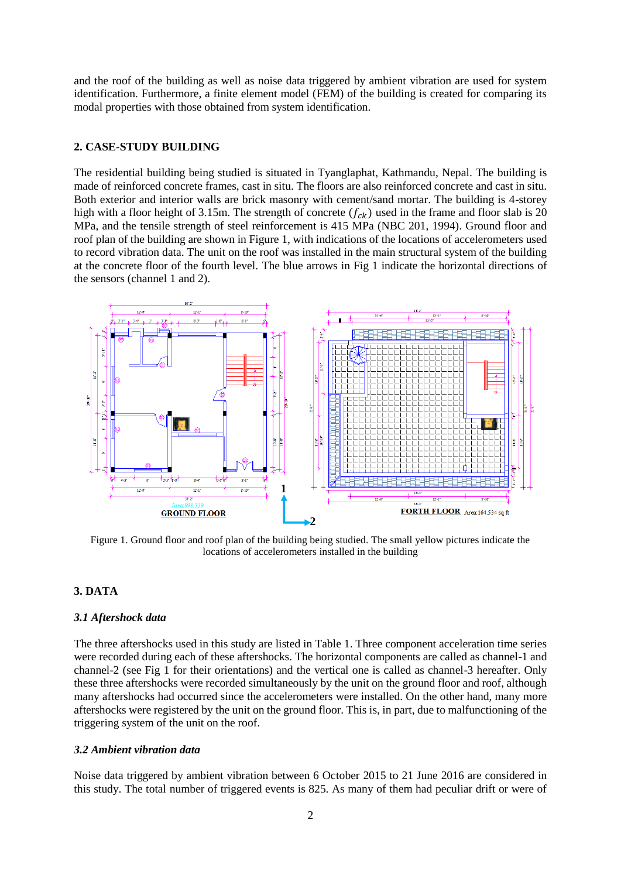and the roof of the building as well as noise data triggered by ambient vibration are used for system identification. Furthermore, a finite element model (FEM) of the building is created for comparing its modal properties with those obtained from system identification.

# **2. CASE-STUDY BUILDING**

The residential building being studied is situated in Tyanglaphat, Kathmandu, Nepal. The building is made of reinforced concrete frames, cast in situ. The floors are also reinforced concrete and cast in situ. Both exterior and interior walls are brick masonry with cement/sand mortar. The building is 4-storey high with a floor height of 3.15m. The strength of concrete  $(f_{ck})$  used in the frame and floor slab is 20 MPa, and the tensile strength of steel reinforcement is 415 MPa (NBC 201, 1994). Ground floor and roof plan of the building are shown in Figure 1, with indications of the locations of accelerometers used to record vibration data. The unit on the roof was installed in the main structural system of the building at the concrete floor of the fourth level. The blue arrows in Fig 1 indicate the horizontal directions of the sensors (channel 1 and 2).



Figure 1. Ground floor and roof plan of the building being studied. The small yellow pictures indicate the locations of accelerometers installed in the building

# **3. DATA**

# *3.1 Aftershock data*

The three aftershocks used in this study are listed in Table 1. Three component acceleration time series were recorded during each of these aftershocks. The horizontal components are called as channel-1 and channel-2 (see Fig 1 for their orientations) and the vertical one is called as channel-3 hereafter. Only these three aftershocks were recorded simultaneously by the unit on the ground floor and roof, although many aftershocks had occurred since the accelerometers were installed. On the other hand, many more aftershocks were registered by the unit on the ground floor. This is, in part, due to malfunctioning of the triggering system of the unit on the roof.

# *3.2 Ambient vibration data*

Noise data triggered by ambient vibration between 6 October 2015 to 21 June 2016 are considered in this study. The total number of triggered events is 825. As many of them had peculiar drift or were of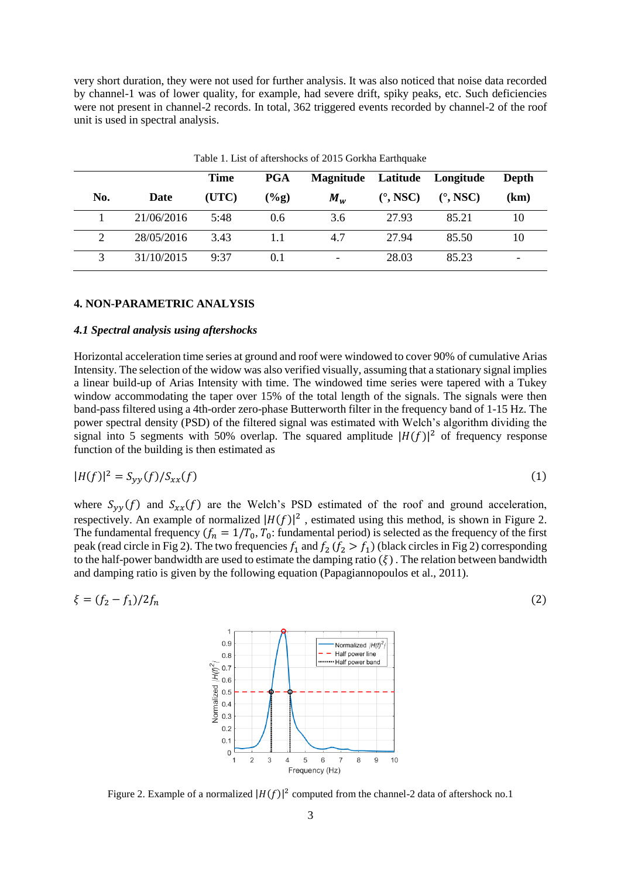very short duration, they were not used for further analysis. It was also noticed that noise data recorded by channel-1 was of lower quality, for example, had severe drift, spiky peaks, etc. Such deficiencies were not present in channel-2 records. In total, 362 triggered events recorded by channel-2 of the roof unit is used in spectral analysis.

|     |            | <b>Time</b> | PGA           | Magnitude Latitude Longitude |                        |                        | <b>Depth</b> |
|-----|------------|-------------|---------------|------------------------------|------------------------|------------------------|--------------|
| No. | Date       | (UTC)       | $(\%g)$       | $M_w$                        | $(^\circ, \text{NSC})$ | $(^\circ, \text{NSC})$ | (km)         |
|     | 21/06/2016 | 5:48        | $0.6^{\circ}$ | 3.6                          | 27.93                  | 85.21                  | 10           |
| 2   | 28/05/2016 | 3.43        |               | 4.7                          | 27.94                  | 85.50                  | 10           |
| 3   | 31/10/2015 | 9:37        | 0.1           |                              | 28.03                  | 85.23                  |              |

Table 1. List of aftershocks of 2015 Gorkha Earthquake

# **4. NON-PARAMETRIC ANALYSIS**

#### *4.1 Spectral analysis using aftershocks*

Horizontal acceleration time series at ground and roof were windowed to cover 90% of cumulative Arias Intensity. The selection of the widow was also verified visually, assuming that a stationary signal implies a linear build-up of Arias Intensity with time. The windowed time series were tapered with a Tukey window accommodating the taper over 15% of the total length of the signals. The signals were then band-pass filtered using a 4th-order zero-phase Butterworth filter in the frequency band of 1-15 Hz. The power spectral density (PSD) of the filtered signal was estimated with Welch's algorithm dividing the signal into 5 segments with 50% overlap. The squared amplitude  $|H(f)|^2$  of frequency response function of the building is then estimated as

$$
|H(f)|^2 = S_{yy}(f)/S_{xx}(f) \tag{1}
$$

where  $S_{yy}(f)$  and  $S_{xx}(f)$  are the Welch's PSD estimated of the roof and ground acceleration, respectively. An example of normalized  $|H(f)|^2$ , estimated using this method, is shown in Figure 2. The fundamental frequency  $(f_n = 1/T_0, T_0)$ : fundamental period) is selected as the frequency of the first peak (read circle in Fig 2). The two frequencies  $f_1$  and  $f_2$  ( $f_2 > f_1$ ) (black circles in Fig 2) corresponding to the half-power bandwidth are used to estimate the damping ratio  $(\xi)$ . The relation between bandwidth and damping ratio is given by the following equation (Papagiannopoulos et al., 2011).

$$
\xi = (f_2 - f_1)/2f_n
$$
 (2)



Figure 2. Example of a normalized  $|H(f)|^2$  computed from the channel-2 data of aftershock no.1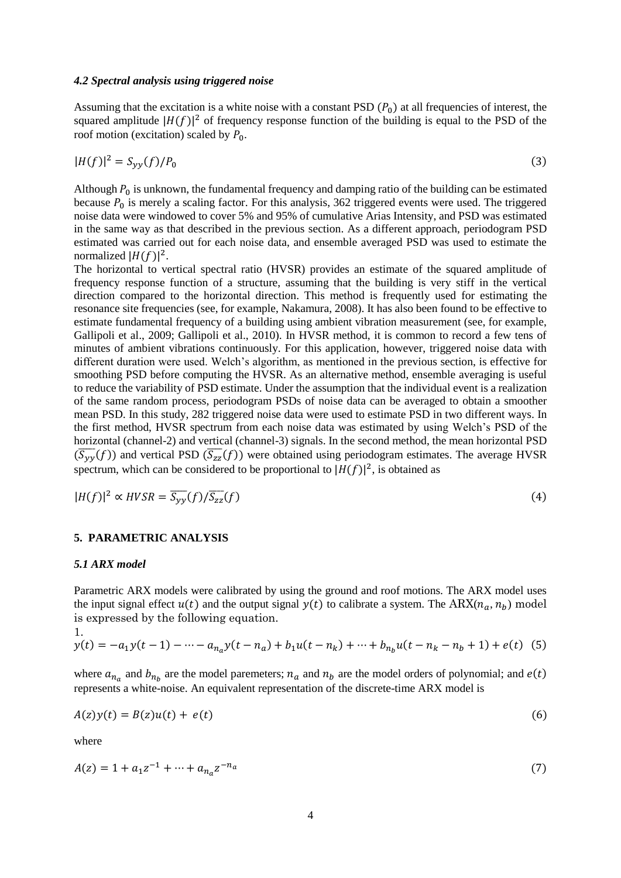#### *4.2 Spectral analysis using triggered noise*

Assuming that the excitation is a white noise with a constant PSD  $(P_0)$  at all frequencies of interest, the squared amplitude  $|H(f)|^2$  of frequency response function of the building is equal to the PSD of the roof motion (excitation) scaled by  $P_0$ .

$$
|H(f)|^2 = S_{yy}(f)/P_0
$$
 (3)

Although  $P_0$  is unknown, the fundamental frequency and damping ratio of the building can be estimated because  $P_0$  is merely a scaling factor. For this analysis, 362 triggered events were used. The triggered noise data were windowed to cover 5% and 95% of cumulative Arias Intensity, and PSD was estimated in the same way as that described in the previous section. As a different approach, periodogram PSD estimated was carried out for each noise data, and ensemble averaged PSD was used to estimate the normalized  $|H(f)|^2$ .

The horizontal to vertical spectral ratio (HVSR) provides an estimate of the squared amplitude of frequency response function of a structure, assuming that the building is very stiff in the vertical direction compared to the horizontal direction. This method is frequently used for estimating the resonance site frequencies (see, for example, Nakamura, 2008). It has also been found to be effective to estimate fundamental frequency of a building using ambient vibration measurement (see, for example, Gallipoli et al., 2009; Gallipoli et al., 2010). In HVSR method, it is common to record a few tens of minutes of ambient vibrations continuously. For this application, however, triggered noise data with different duration were used. Welch's algorithm, as mentioned in the previous section, is effective for smoothing PSD before computing the HVSR. As an alternative method, ensemble averaging is useful to reduce the variability of PSD estimate. Under the assumption that the individual event is a realization of the same random process, periodogram PSDs of noise data can be averaged to obtain a smoother mean PSD. In this study, 282 triggered noise data were used to estimate PSD in two different ways. In the first method, HVSR spectrum from each noise data was estimated by using Welch's PSD of the horizontal (channel-2) and vertical (channel-3) signals. In the second method, the mean horizontal PSD  $(\overline{S_{yy}}(f))$  and vertical PSD  $(\overline{S_{zz}}(f))$  were obtained using periodogram estimates. The average HVSR spectrum, which can be considered to be proportional to  $|H(f)|^2$ , is obtained as

$$
|H(f)|^2 \propto HVSR = \overline{S_{yy}}(f)/\overline{S_{zz}}(f) \tag{4}
$$

#### **5. PARAMETRIC ANALYSIS**

#### *5.1 ARX model*

Parametric ARX models were calibrated by using the ground and roof motions. The ARX model uses the input signal effect  $u(t)$  and the output signal  $y(t)$  to calibrate a system. The ARX $(n_a, n_b)$  model is expressed by the following equation.

1.  
\n
$$
y(t) = -a_1y(t-1) - \dots - a_{n_a}y(t-n_a) + b_1u(t-n_k) + \dots + b_{n_b}u(t-n_k-n_b+1) + e(t)
$$
 (5)

where  $a_{n_a}$  and  $b_{n_b}$  are the model paremeters;  $n_a$  and  $n_b$  are the model orders of polynomial; and  $e(t)$ represents a white-noise. An equivalent representation of the discrete-time ARX model is

$$
A(z)y(t) = B(z)u(t) + e(t)
$$
\n<sup>(6)</sup>

where

$$
A(z) = 1 + a_1 z^{-1} + \dots + a_{n_a} z^{-n_a}
$$
\n<sup>(7)</sup>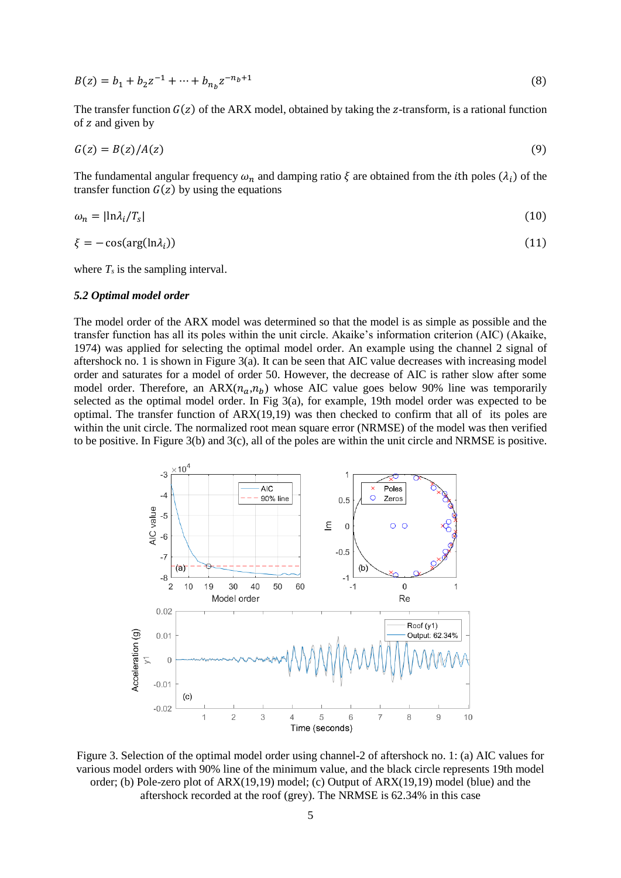$$
B(z) = b_1 + b_2 z^{-1} + \dots + b_{n_b} z^{-n_b + 1}
$$
\n(8)

The transfer function  $G(z)$  of the ARX model, obtained by taking the z-transform, is a rational function of z and given by

$$
G(z) = B(z)/A(z) \tag{9}
$$

The fundamental angular frequency  $\omega_n$  and damping ratio  $\xi$  are obtained from the *i*th poles  $(\lambda_i)$  of the transfer function  $G(z)$  by using the equations

$$
\omega_n = |\ln \lambda_i / T_s| \tag{10}
$$

$$
\xi = -\cos(\arg(\ln \lambda_i))\tag{11}
$$

where  $T<sub>s</sub>$  is the sampling interval.

#### *5.2 Optimal model order*

The model order of the ARX model was determined so that the model is as simple as possible and the transfer function has all its poles within the unit circle. Akaike's information criterion (AIC) (Akaike, 1974) was applied for selecting the optimal model order. An example using the channel 2 signal of aftershock no. 1 is shown in Figure 3(a). It can be seen that AIC value decreases with increasing model order and saturates for a model of order 50. However, the decrease of AIC is rather slow after some model order. Therefore, an ARX $(n_a, n_b)$  whose AIC value goes below 90% line was temporarily selected as the optimal model order. In Fig 3(a), for example, 19th model order was expected to be optimal. The transfer function of  $ARX(19,19)$  was then checked to confirm that all of its poles are within the unit circle. The normalized root mean square error (NRMSE) of the model was then verified to be positive. In Figure 3(b) and 3(c), all of the poles are within the unit circle and NRMSE is positive.



Figure 3. Selection of the optimal model order using channel-2 of aftershock no. 1: (a) AIC values for various model orders with 90% line of the minimum value, and the black circle represents 19th model order; (b) Pole-zero plot of ARX(19,19) model; (c) Output of ARX(19,19) model (blue) and the aftershock recorded at the roof (grey). The NRMSE is 62.34% in this case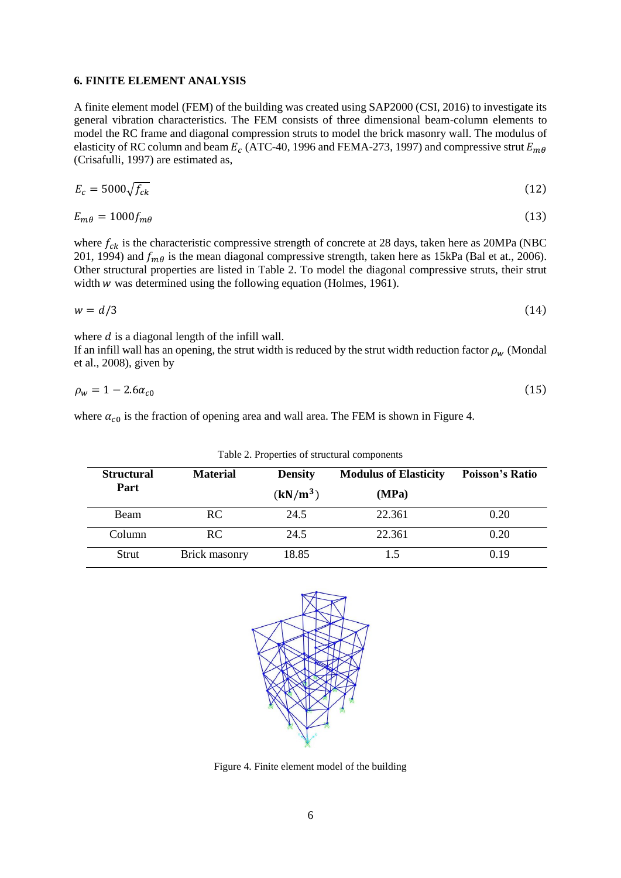# **6. FINITE ELEMENT ANALYSIS**

A finite element model (FEM) of the building was created using SAP2000 (CSI, 2016) to investigate its general vibration characteristics. The FEM consists of three dimensional beam-column elements to model the RC frame and diagonal compression struts to model the brick masonry wall. The modulus of elasticity of RC column and beam  $E_c$  (ATC-40, 1996 and FEMA-273, 1997) and compressive strut  $E_{m\theta}$ (Crisafulli, 1997) are estimated as,

$$
E_c = 5000 \sqrt{f_{ck}} \tag{12}
$$

$$
E_{m\theta} = 1000 f_{m\theta} \tag{13}
$$

where  $f_{ck}$  is the characteristic compressive strength of concrete at 28 days, taken here as 20MPa (NBC 201, 1994) and  $f_{m\theta}$  is the mean diagonal compressive strength, taken here as 15kPa (Bal et at., 2006). Other structural properties are listed in Table 2. To model the diagonal compressive struts, their strut width  $w$  was determined using the following equation (Holmes, 1961).

$$
w = d/3 \tag{14}
$$

where  $d$  is a diagonal length of the infill wall.

If an infill wall has an opening, the strut width is reduced by the strut width reduction factor  $\rho_w$  (Mondal et al., 2008), given by

$$
\rho_w = 1 - 2.6 \alpha_{c0} \tag{15}
$$

where  $\alpha_{c0}$  is the fraction of opening area and wall area. The FEM is shown in Figure 4.

| <b>Structural</b><br>Part | <b>Material</b> | <b>Density</b><br>$(kN/m^3)$ | <b>Modulus of Elasticity</b><br>(MPa) | <b>Poisson's Ratio</b> |
|---------------------------|-----------------|------------------------------|---------------------------------------|------------------------|
| Beam                      | RC.             | 24.5                         | 22.361                                | 0.20                   |
| Column                    | RC.             | 24.5                         | 22.361                                | 0.20                   |
| Strut                     | Brick masonry   | 18.85                        | 1.5                                   | 0.19                   |

Table 2. Properties of structural components



Figure 4. Finite element model of the building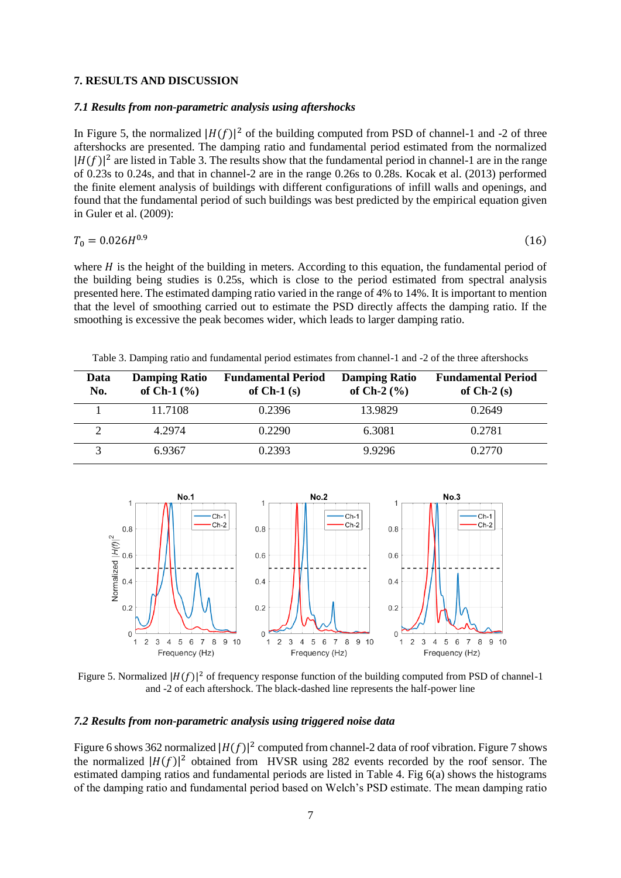# **7. RESULTS AND DISCUSSION**

#### *7.1 Results from non-parametric analysis using aftershocks*

In Figure 5, the normalized  $|H(f)|^2$  of the building computed from PSD of channel-1 and -2 of three aftershocks are presented. The damping ratio and fundamental period estimated from the normalized  $|H(f)|^2$  are listed in Table 3. The results show that the fundamental period in channel-1 are in the range of 0.23s to 0.24s, and that in channel-2 are in the range 0.26s to 0.28s. Kocak et al. (2013) performed the finite element analysis of buildings with different configurations of infill walls and openings, and found that the fundamental period of such buildings was best predicted by the empirical equation given in Guler et al. (2009):

$$
T_0 = 0.026H^{0.9} \tag{16}
$$

where  $H$  is the height of the building in meters. According to this equation, the fundamental period of the building being studies is 0.25s, which is close to the period estimated from spectral analysis presented here. The estimated damping ratio varied in the range of 4% to 14%. It is important to mention that the level of smoothing carried out to estimate the PSD directly affects the damping ratio. If the smoothing is excessive the peak becomes wider, which leads to larger damping ratio.

Table 3. Damping ratio and fundamental period estimates from channel-1 and -2 of the three aftershocks

| Data<br>No. | <b>Damping Ratio</b><br>of Ch-1 $(\% )$ | <b>Fundamental Period</b><br>of $Ch-1(s)$ | <b>Damping Ratio</b><br>of Ch-2 $(\% )$ | <b>Fundamental Period</b><br>of $Ch-2(s)$ |
|-------------|-----------------------------------------|-------------------------------------------|-----------------------------------------|-------------------------------------------|
|             | 11.7108                                 | 0.2396                                    | 13.9829                                 | 0.2649                                    |
|             | 4.2974                                  | 0.2290                                    | 6.3081                                  | 0.2781                                    |
|             | 6.9367                                  | 0.2393                                    | 9.9296                                  | 0.2770                                    |



Figure 5. Normalized  $|H(f)|^2$  of frequency response function of the building computed from PSD of channel-1 and -2 of each aftershock. The black-dashed line represents the half-power line

### *7.2 Results from non-parametric analysis using triggered noise data*

Figure 6 shows 362 normalized  $|H(f)|^2$  computed from channel-2 data of roof vibration. Figure 7 shows the normalized  $|H(f)|^2$  obtained from HVSR using 282 events recorded by the roof sensor. The estimated damping ratios and fundamental periods are listed in Table 4. Fig 6(a) shows the histograms of the damping ratio and fundamental period based on Welch's PSD estimate. The mean damping ratio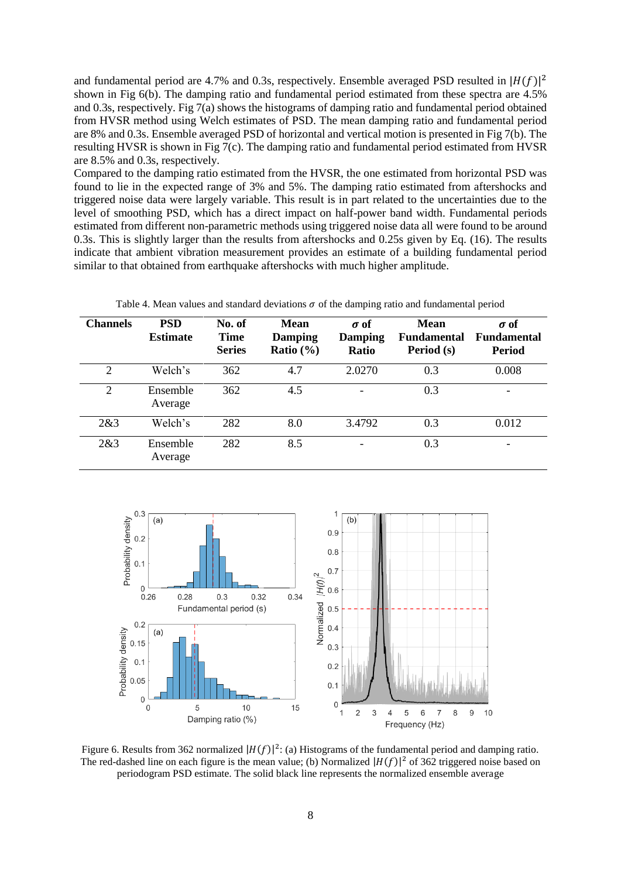and fundamental period are 4.7% and 0.3s, respectively. Ensemble averaged PSD resulted in  $|H(f)|^2$ shown in Fig 6(b). The damping ratio and fundamental period estimated from these spectra are 4.5% and 0.3s, respectively. Fig 7(a) shows the histograms of damping ratio and fundamental period obtained from HVSR method using Welch estimates of PSD. The mean damping ratio and fundamental period are 8% and 0.3s. Ensemble averaged PSD of horizontal and vertical motion is presented in Fig 7(b). The resulting HVSR is shown in Fig 7(c). The damping ratio and fundamental period estimated from HVSR are 8.5% and 0.3s, respectively.

Compared to the damping ratio estimated from the HVSR, the one estimated from horizontal PSD was found to lie in the expected range of 3% and 5%. The damping ratio estimated from aftershocks and triggered noise data were largely variable. This result is in part related to the uncertainties due to the level of smoothing PSD, which has a direct impact on half-power band width. Fundamental periods estimated from different non-parametric methods using triggered noise data all were found to be around 0.3s. This is slightly larger than the results from aftershocks and 0.25s given by Eq. (16). The results indicate that ambient vibration measurement provides an estimate of a building fundamental period similar to that obtained from earthquake aftershocks with much higher amplitude.

| <b>Channels</b> | <b>PSD</b><br><b>Estimate</b> | No. of<br>Time<br><b>Series</b> | <b>Mean</b><br><b>Damping</b><br>Ratio $(\% )$ | $\sigma$ of<br>Damping<br>Ratio | <b>Mean</b><br><b>Fundamental</b><br>Period (s) | $\sigma$ of<br><b>Fundamental</b><br><b>Period</b> |
|-----------------|-------------------------------|---------------------------------|------------------------------------------------|---------------------------------|-------------------------------------------------|----------------------------------------------------|
| $\overline{2}$  | Welch's                       | 362                             | 4.7                                            | 2.0270                          | 0.3                                             | 0.008                                              |
| $\overline{2}$  | Ensemble<br>Average           | 362                             | 4.5                                            |                                 | 0.3                                             | -                                                  |
| 2&3             | Welch's                       | 282                             | 8.0                                            | 3.4792                          | 0.3                                             | 0.012                                              |
| 2&3             | Ensemble<br>Average           | 282                             | 8.5                                            |                                 | 0.3                                             | $\overline{\phantom{a}}$                           |

Table 4. Mean values and standard deviations  $\sigma$  of the damping ratio and fundamental period



Figure 6. Results from 362 normalized  $|H(f)|^2$ : (a) Histograms of the fundamental period and damping ratio. The red-dashed line on each figure is the mean value; (b) Normalized  $|H(f)|^2$  of 362 triggered noise based on periodogram PSD estimate. The solid black line represents the normalized ensemble average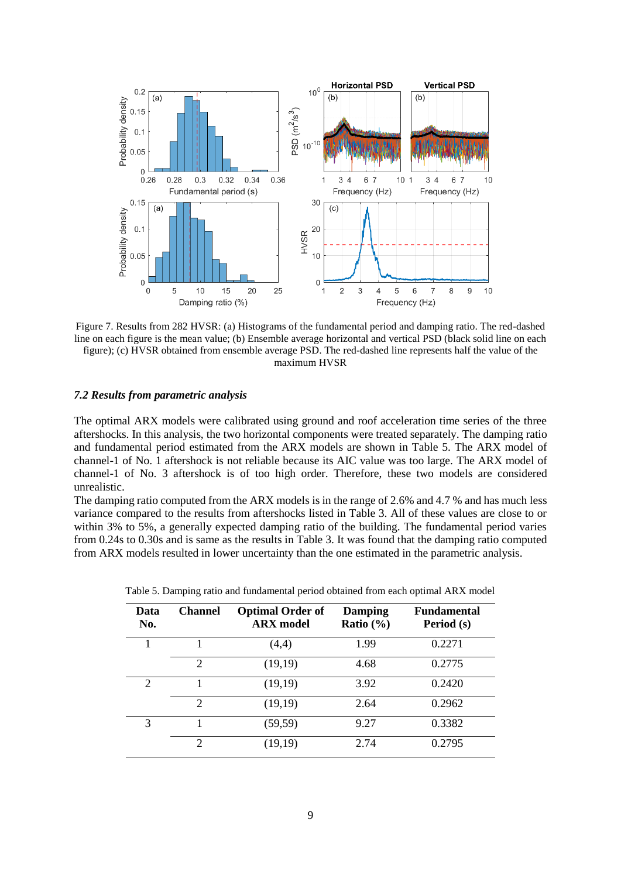

Figure 7. Results from 282 HVSR: (a) Histograms of the fundamental period and damping ratio. The red-dashed line on each figure is the mean value; (b) Ensemble average horizontal and vertical PSD (black solid line on each figure); (c) HVSR obtained from ensemble average PSD. The red-dashed line represents half the value of the maximum HVSR

### *7.2 Results from parametric analysis*

The optimal ARX models were calibrated using ground and roof acceleration time series of the three aftershocks. In this analysis, the two horizontal components were treated separately. The damping ratio and fundamental period estimated from the ARX models are shown in Table 5. The ARX model of channel-1 of No. 1 aftershock is not reliable because its AIC value was too large. The ARX model of channel-1 of No. 3 aftershock is of too high order. Therefore, these two models are considered unrealistic.

The damping ratio computed from the ARX models is in the range of 2.6% and 4.7 % and has much less variance compared to the results from aftershocks listed in Table 3. All of these values are close to or within 3% to 5%, a generally expected damping ratio of the building. The fundamental period varies from 0.24s to 0.30s and is same as the results in Table 3. It was found that the damping ratio computed from ARX models resulted in lower uncertainty than the one estimated in the parametric analysis.

| Data<br>No.                 | <b>Channel</b>              | <b>Optimal Order of</b><br><b>ARX</b> model | <b>Damping</b><br>Ratio $(\% )$ | <b>Fundamental</b><br>Period (s) |
|-----------------------------|-----------------------------|---------------------------------------------|---------------------------------|----------------------------------|
|                             |                             | (4,4)                                       | 1.99                            | 0.2271                           |
|                             | $\overline{2}$              | (19,19)                                     | 4.68                            | 0.2775                           |
| $\mathcal{D}_{\mathcal{L}}$ |                             | (19,19)                                     | 3.92                            | 0.2420                           |
|                             | $\overline{2}$              | (19,19)                                     | 2.64                            | 0.2962                           |
| 3                           |                             | (59, 59)                                    | 9.27                            | 0.3382                           |
|                             | $\mathcal{D}_{\mathcal{A}}$ | (19,19)                                     | 2.74                            | 0.2795                           |

Table 5. Damping ratio and fundamental period obtained from each optimal ARX model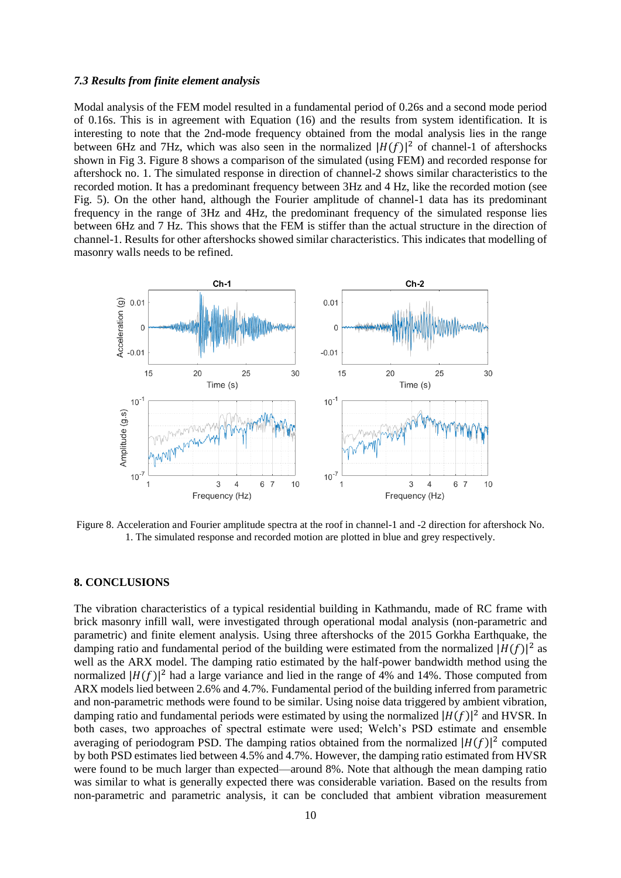#### *7.3 Results from finite element analysis*

Modal analysis of the FEM model resulted in a fundamental period of 0.26s and a second mode period of 0.16s. This is in agreement with Equation (16) and the results from system identification. It is interesting to note that the 2nd-mode frequency obtained from the modal analysis lies in the range between 6Hz and 7Hz, which was also seen in the normalized  $|H(f)|^2$  of channel-1 of aftershocks shown in Fig 3. Figure 8 shows a comparison of the simulated (using FEM) and recorded response for aftershock no. 1. The simulated response in direction of channel-2 shows similar characteristics to the recorded motion. It has a predominant frequency between 3Hz and 4 Hz, like the recorded motion (see Fig. 5). On the other hand, although the Fourier amplitude of channel-1 data has its predominant frequency in the range of 3Hz and 4Hz, the predominant frequency of the simulated response lies between 6Hz and 7 Hz. This shows that the FEM is stiffer than the actual structure in the direction of channel-1. Results for other aftershocks showed similar characteristics. This indicates that modelling of masonry walls needs to be refined.



Figure 8. Acceleration and Fourier amplitude spectra at the roof in channel-1 and -2 direction for aftershock No. 1. The simulated response and recorded motion are plotted in blue and grey respectively.

### **8. CONCLUSIONS**

The vibration characteristics of a typical residential building in Kathmandu, made of RC frame with brick masonry infill wall, were investigated through operational modal analysis (non-parametric and parametric) and finite element analysis. Using three aftershocks of the 2015 Gorkha Earthquake, the damping ratio and fundamental period of the building were estimated from the normalized  $|H(f)|^2$  as well as the ARX model. The damping ratio estimated by the half-power bandwidth method using the normalized  $|H(f)|^2$  had a large variance and lied in the range of 4% and 14%. Those computed from ARX models lied between 2.6% and 4.7%. Fundamental period of the building inferred from parametric and non-parametric methods were found to be similar. Using noise data triggered by ambient vibration, damping ratio and fundamental periods were estimated by using the normalized  $|H(f)|^2$  and HVSR. In both cases, two approaches of spectral estimate were used; Welch's PSD estimate and ensemble averaging of periodogram PSD. The damping ratios obtained from the normalized  $|H(f)|^2$  computed by both PSD estimates lied between 4.5% and 4.7%. However, the damping ratio estimated from HVSR were found to be much larger than expected—around 8%. Note that although the mean damping ratio was similar to what is generally expected there was considerable variation. Based on the results from non-parametric and parametric analysis, it can be concluded that ambient vibration measurement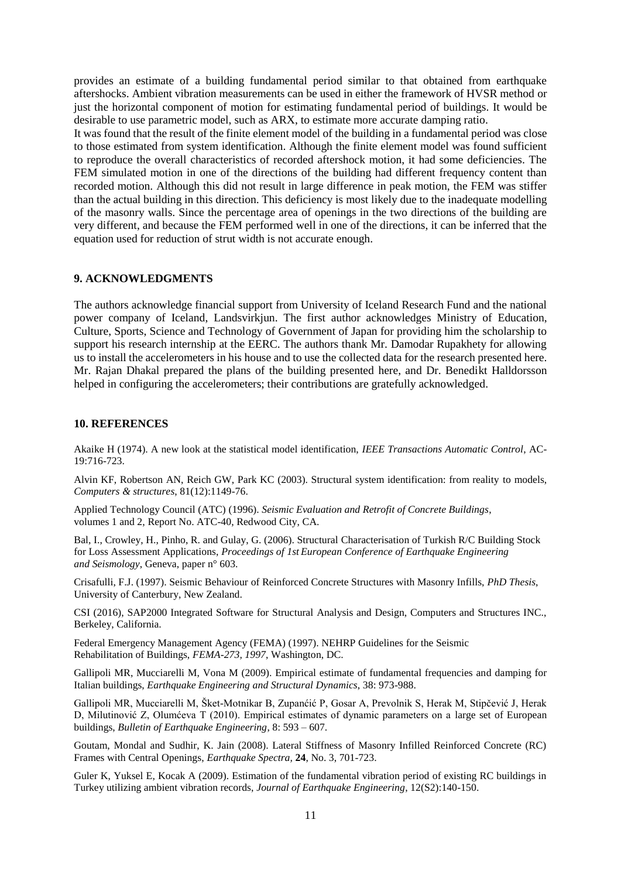provides an estimate of a building fundamental period similar to that obtained from earthquake aftershocks. Ambient vibration measurements can be used in either the framework of HVSR method or just the horizontal component of motion for estimating fundamental period of buildings. It would be desirable to use parametric model, such as ARX, to estimate more accurate damping ratio.

It was found that the result of the finite element model of the building in a fundamental period was close to those estimated from system identification. Although the finite element model was found sufficient to reproduce the overall characteristics of recorded aftershock motion, it had some deficiencies. The FEM simulated motion in one of the directions of the building had different frequency content than recorded motion. Although this did not result in large difference in peak motion, the FEM was stiffer than the actual building in this direction. This deficiency is most likely due to the inadequate modelling of the masonry walls. Since the percentage area of openings in the two directions of the building are very different, and because the FEM performed well in one of the directions, it can be inferred that the equation used for reduction of strut width is not accurate enough.

#### **9. ACKNOWLEDGMENTS**

The authors acknowledge financial support from University of Iceland Research Fund and the national power company of Iceland, Landsvirkjun. The first author acknowledges Ministry of Education, Culture, Sports, Science and Technology of Government of Japan for providing him the scholarship to support his research internship at the EERC. The authors thank Mr. Damodar Rupakhety for allowing us to install the accelerometers in his house and to use the collected data for the research presented here. Mr. Rajan Dhakal prepared the plans of the building presented here, and Dr. Benedikt Halldorsson helped in configuring the accelerometers; their contributions are gratefully acknowledged.

#### **10. REFERENCES**

Akaike H (1974). A new look at the statistical model identification, *IEEE Transactions Automatic Control*, AC-19:716-723.

Alvin KF, Robertson AN, Reich GW, Park KC (2003). Structural system identification: from reality to models, *Computers & structures*, 81(12):1149-76.

Applied Technology Council (ATC) (1996). *Seismic Evaluation and Retrofit of Concrete Buildings*, volumes 1 and 2, Report No. ATC-40, Redwood City, CA.

Bal, I., Crowley, H., Pinho, R. and Gulay, G. (2006). Structural Characterisation of Turkish R/C Building Stock for Loss Assessment Applications, *Proceedings of 1st European Conference of Earthquake Engineering and Seismology*, Geneva, paper n° 603.

Crisafulli, F.J. (1997). Seismic Behaviour of Reinforced Concrete Structures with Masonry Infills, *PhD Thesis*, University of Canterbury, New Zealand.

CSI (2016), SAP2000 Integrated Software for Structural Analysis and Design, Computers and Structures INC., Berkeley, California.

Federal Emergency Management Agency (FEMA) (1997). NEHRP Guidelines for the Seismic Rehabilitation of Buildings, *FEMA-273, 1997*, Washington, DC.

Gallipoli MR, Mucciarelli M, Vona M (2009). Empirical estimate of fundamental frequencies and damping for Italian buildings, *Earthquake Engineering and Structural Dynamics*, 38: 973-988.

Gallipoli MR, Mucciarelli M, Šket-Motnikar B, Zupanćić P, Gosar A, Prevolnik S, Herak M, Stipčević J, Herak D, Milutinović Z, Olumćeva T (2010). Empirical estimates of dynamic parameters on a large set of European buildings, *Bulletin of Earthquake Engineering*, 8: 593 – 607.

Goutam, Mondal and Sudhir, K. Jain (2008). Lateral Stiffness of Masonry Infilled Reinforced Concrete (RC) Frames with Central Openings, *Earthquake Spectra,* **24**, No. 3, 701-723.

Guler K, Yuksel E, Kocak A (2009). Estimation of the fundamental vibration period of existing RC buildings in Turkey utilizing ambient vibration records, *Journal of Earthquake Engineering*, 12(S2):140-150.